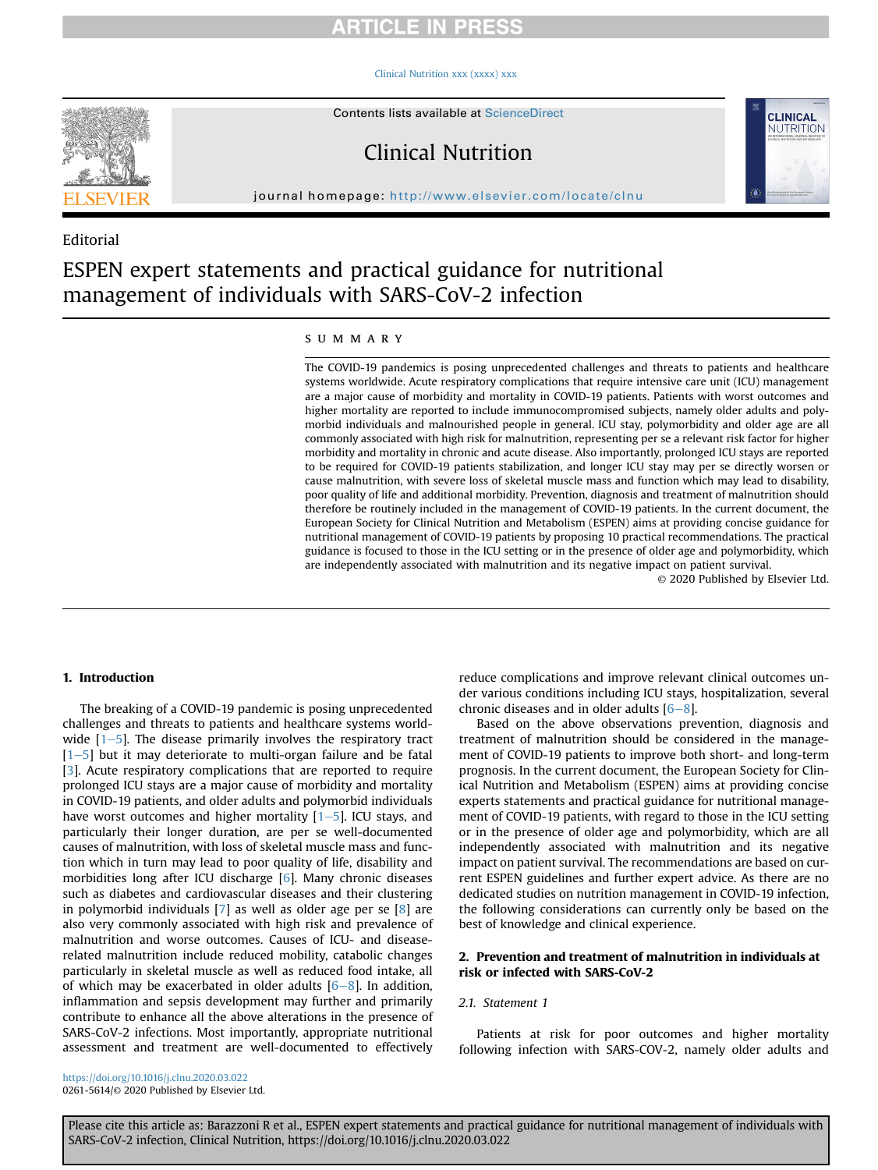#### [Clinical Nutrition xxx \(xxxx\) xxx](https://doi.org/10.1016/j.clnu.2020.03.022)



Editorial

Contents lists available at ScienceDirect

## Clinical Nutrition

journal homepage: <http://www.elsevier.com/locate/clnu>



# ESPEN expert statements and practical guidance for nutritional management of individuals with SARS-CoV-2 infection

## SUMMARY

The COVID-19 pandemics is posing unprecedented challenges and threats to patients and healthcare systems worldwide. Acute respiratory complications that require intensive care unit (ICU) management are a major cause of morbidity and mortality in COVID-19 patients. Patients with worst outcomes and higher mortality are reported to include immunocompromised subjects, namely older adults and polymorbid individuals and malnourished people in general. ICU stay, polymorbidity and older age are all commonly associated with high risk for malnutrition, representing per se a relevant risk factor for higher morbidity and mortality in chronic and acute disease. Also importantly, prolonged ICU stays are reported to be required for COVID-19 patients stabilization, and longer ICU stay may per se directly worsen or cause malnutrition, with severe loss of skeletal muscle mass and function which may lead to disability, poor quality of life and additional morbidity. Prevention, diagnosis and treatment of malnutrition should therefore be routinely included in the management of COVID-19 patients. In the current document, the European Society for Clinical Nutrition and Metabolism (ESPEN) aims at providing concise guidance for nutritional management of COVID-19 patients by proposing 10 practical recommendations. The practical guidance is focused to those in the ICU setting or in the presence of older age and polymorbidity, which are independently associated with malnutrition and its negative impact on patient survival.

© 2020 Published by Elsevier Ltd.

#### 1. Introduction

The breaking of a COVID-19 pandemic is posing unprecedented challenges and threats to patients and healthcare systems worldwide  $[1-5]$  $[1-5]$  $[1-5]$  $[1-5]$ . The disease primarily involves the respiratory tract  $[1–5]$  $[1–5]$  $[1–5]$  but it may deteriorate to multi-organ failure and be fatal [\[3](#page-6-1)]. Acute respiratory complications that are reported to require prolonged ICU stays are a major cause of morbidity and mortality in COVID-19 patients, and older adults and polymorbid individuals have worst outcomes and higher mortality  $[1–5]$  $[1–5]$  $[1–5]$ . ICU stays, and particularly their longer duration, are per se well-documented causes of malnutrition, with loss of skeletal muscle mass and function which in turn may lead to poor quality of life, disability and morbidities long after ICU discharge [\[6\]](#page-6-2). Many chronic diseases such as diabetes and cardiovascular diseases and their clustering in polymorbid individuals [\[7](#page-6-3)] as well as older age per se [[8](#page-6-4)] are also very commonly associated with high risk and prevalence of malnutrition and worse outcomes. Causes of ICU- and diseaserelated malnutrition include reduced mobility, catabolic changes particularly in skeletal muscle as well as reduced food intake, all of which may be exacerbated in older adults  $[6-8]$  $[6-8]$  $[6-8]$ . In addition, inflammation and sepsis development may further and primarily contribute to enhance all the above alterations in the presence of SARS-CoV-2 infections. Most importantly, appropriate nutritional assessment and treatment are well-documented to effectively

reduce complications and improve relevant clinical outcomes under various conditions including ICU stays, hospitalization, several chronic diseases and in older adults  $[6-8]$  $[6-8]$  $[6-8]$  $[6-8]$ .

Based on the above observations prevention, diagnosis and treatment of malnutrition should be considered in the management of COVID-19 patients to improve both short- and long-term prognosis. In the current document, the European Society for Clinical Nutrition and Metabolism (ESPEN) aims at providing concise experts statements and practical guidance for nutritional management of COVID-19 patients, with regard to those in the ICU setting or in the presence of older age and polymorbidity, which are all independently associated with malnutrition and its negative impact on patient survival. The recommendations are based on current ESPEN guidelines and further expert advice. As there are no dedicated studies on nutrition management in COVID-19 infection, the following considerations can currently only be based on the best of knowledge and clinical experience.

## 2. Prevention and treatment of malnutrition in individuals at risk or infected with SARS-CoV-2

#### 2.1. Statement 1

Patients at risk for poor outcomes and higher mortality following infection with SARS-COV-2, namely older adults and

<https://doi.org/10.1016/j.clnu.2020.03.022> 0261-5614/© 2020 Published by Elsevier Ltd.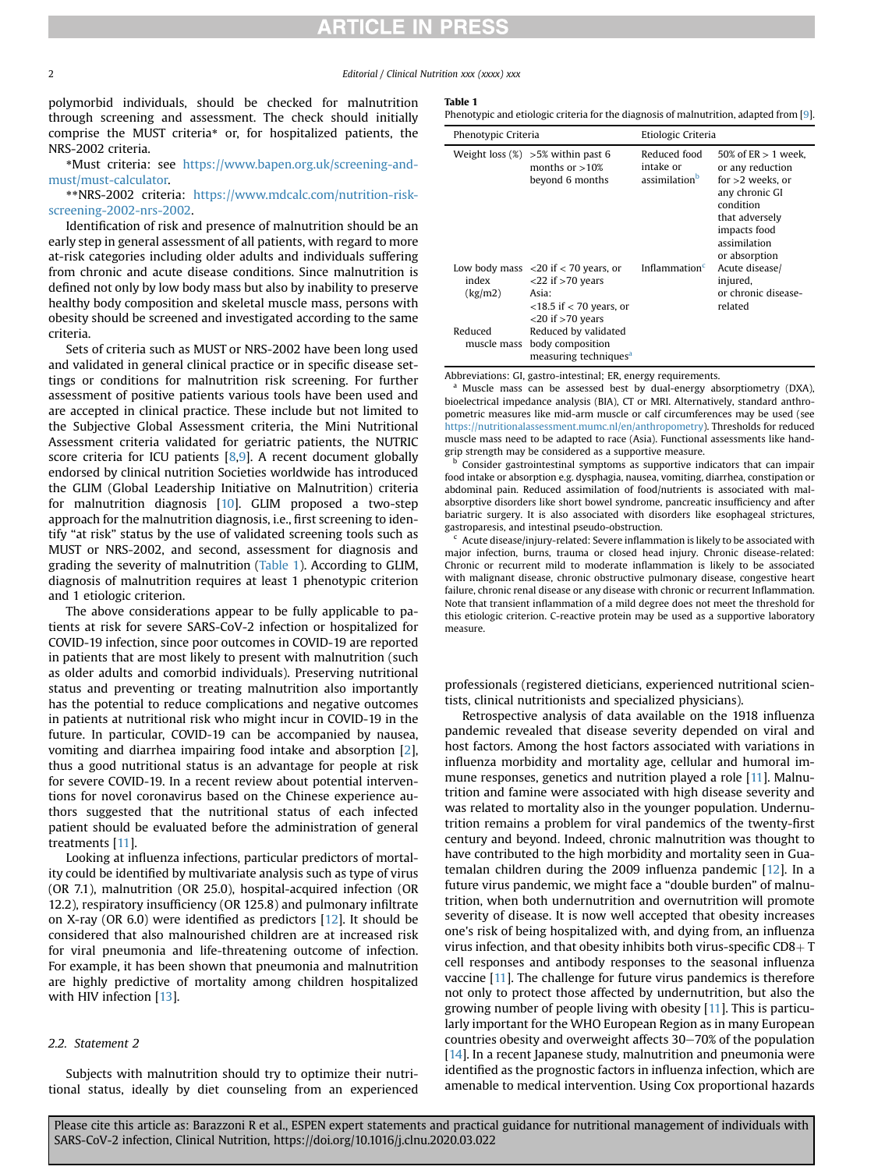2 Editorial / Clinical Nutrition xxx (xxxx) xxx

polymorbid individuals, should be checked for malnutrition through screening and assessment. The check should initially comprise the MUST criteria\* or, for hospitalized patients, the NRS-2002 criteria.

\*Must criteria: see [https://www.bapen.org.uk/screening-and](https://www.bapen.org.uk/screening-and-must/must-calculator)[must/must-calculator.](https://www.bapen.org.uk/screening-and-must/must-calculator)

## \*\*NRS-2002 criteria: [https://www.mdcalc.com/nutrition-risk](https://www.mdcalc.com/nutrition-risk-screening-2002-nrs-2002)[screening-2002-nrs-2002.](https://www.mdcalc.com/nutrition-risk-screening-2002-nrs-2002)

Identification of risk and presence of malnutrition should be an early step in general assessment of all patients, with regard to more at-risk categories including older adults and individuals suffering from chronic and acute disease conditions. Since malnutrition is defined not only by low body mass but also by inability to preserve healthy body composition and skeletal muscle mass, persons with obesity should be screened and investigated according to the same criteria.

Sets of criteria such as MUST or NRS-2002 have been long used and validated in general clinical practice or in specific disease settings or conditions for malnutrition risk screening. For further assessment of positive patients various tools have been used and are accepted in clinical practice. These include but not limited to the Subjective Global Assessment criteria, the Mini Nutritional Assessment criteria validated for geriatric patients, the NUTRIC score criteria for ICU patients [\[8](#page-6-4)[,9\]](#page-6-5). A recent document globally endorsed by clinical nutrition Societies worldwide has introduced the GLIM (Global Leadership Initiative on Malnutrition) criteria for malnutrition diagnosis [[10\]](#page-6-6). GLIM proposed a two-step approach for the malnutrition diagnosis, i.e., first screening to identify "at risk" status by the use of validated screening tools such as MUST or NRS-2002, and second, assessment for diagnosis and grading the severity of malnutrition ([Table 1](#page-1-0)). According to GLIM, diagnosis of malnutrition requires at least 1 phenotypic criterion and 1 etiologic criterion.

The above considerations appear to be fully applicable to patients at risk for severe SARS-CoV-2 infection or hospitalized for COVID-19 infection, since poor outcomes in COVID-19 are reported in patients that are most likely to present with malnutrition (such as older adults and comorbid individuals). Preserving nutritional status and preventing or treating malnutrition also importantly has the potential to reduce complications and negative outcomes in patients at nutritional risk who might incur in COVID-19 in the future. In particular, COVID-19 can be accompanied by nausea, vomiting and diarrhea impairing food intake and absorption [\[2](#page-6-7)], thus a good nutritional status is an advantage for people at risk for severe COVID-19. In a recent review about potential interventions for novel coronavirus based on the Chinese experience authors suggested that the nutritional status of each infected patient should be evaluated before the administration of general treatments [[11](#page-6-8)].

Looking at influenza infections, particular predictors of mortality could be identified by multivariate analysis such as type of virus (OR 7.1), malnutrition (OR 25.0), hospital-acquired infection (OR 12.2), respiratory insufficiency (OR 125.8) and pulmonary infiltrate on X-ray (OR 6.0) were identified as predictors [\[12\]](#page-6-9). It should be considered that also malnourished children are at increased risk for viral pneumonia and life-threatening outcome of infection. For example, it has been shown that pneumonia and malnutrition are highly predictive of mortality among children hospitalized with HIV infection [\[13](#page-6-10)].

### 2.2. Statement 2

Subjects with malnutrition should try to optimize their nutritional status, ideally by diet counseling from an experienced

#### <span id="page-1-0"></span>Table 1

Phenotypic and etiologic criteria for the diagnosis of malnutrition, adapted from [\[9](#page-6-5)].

| Phenotypic Criteria    |                                                                                                                                                                   | Etiologic Criteria                                     |                                                                                                                                                                   |  |
|------------------------|-------------------------------------------------------------------------------------------------------------------------------------------------------------------|--------------------------------------------------------|-------------------------------------------------------------------------------------------------------------------------------------------------------------------|--|
|                        | Weight loss $(\%)$ > 5% within past 6<br>months or $>10\%$<br>beyond 6 months                                                                                     | Reduced food<br>intake or<br>assimilation <sup>b</sup> | 50% of $ER > 1$ week.<br>or any reduction<br>for $>2$ weeks, or<br>any chronic GI<br>condition<br>that adversely<br>impacts food<br>assimilation<br>or absorption |  |
| index<br>(kg/m2)       | Low body mass $\langle 20 \rangle$ if $\langle 70 \rangle$ years, or<br>$<$ 22 if $>$ 70 years<br>Asia:<br>$<$ 18.5 if $<$ 70 years, or<br>$<$ 20 if $>$ 70 years | Inflammation <sup>c</sup>                              | Acute disease/<br>injured,<br>or chronic disease-<br>related                                                                                                      |  |
| Reduced<br>muscle mass | Reduced by validated<br>body composition<br>measuring techniques <sup>a</sup>                                                                                     |                                                        |                                                                                                                                                                   |  |

Abbreviations: GI, gastro-intestinal; ER, energy requirements.

<sup>1</sup> Muscle mass can be assessed best by dual-energy absorptiometry (DXA), bioelectrical impedance analysis (BIA), CT or MRI. Alternatively, standard anthropometric measures like mid-arm muscle or calf circumferences may be used (see <https://nutritionalassessment.mumc.nl/en/anthropometry>). Thresholds for reduced muscle mass need to be adapted to race (Asia). Functional assessments like handgrip strength may be considered as a supportive measure.

b Consider gastrointestinal symptoms as supportive indicators that can impair food intake or absorption e.g. dysphagia, nausea, vomiting, diarrhea, constipation or abdominal pain. Reduced assimilation of food/nutrients is associated with malabsorptive disorders like short bowel syndrome, pancreatic insufficiency and after bariatric surgery. It is also associated with disorders like esophageal strictures, gastroparesis, and intestinal pseudo-obstruction.

 $\epsilon$  Acute disease/injury-related: Severe inflammation is likely to be associated with major infection, burns, trauma or closed head injury. Chronic disease-related: Chronic or recurrent mild to moderate inflammation is likely to be associated with malignant disease, chronic obstructive pulmonary disease, congestive heart failure, chronic renal disease or any disease with chronic or recurrent Inflammation. Note that transient inflammation of a mild degree does not meet the threshold for this etiologic criterion. C-reactive protein may be used as a supportive laboratory measure.

professionals (registered dieticians, experienced nutritional scientists, clinical nutritionists and specialized physicians).

Retrospective analysis of data available on the 1918 influenza pandemic revealed that disease severity depended on viral and host factors. Among the host factors associated with variations in influenza morbidity and mortality age, cellular and humoral immune responses, genetics and nutrition played a role [\[11\]](#page-6-8). Malnutrition and famine were associated with high disease severity and was related to mortality also in the younger population. Undernutrition remains a problem for viral pandemics of the twenty-first century and beyond. Indeed, chronic malnutrition was thought to have contributed to the high morbidity and mortality seen in Guatemalan children during the 2009 influenza pandemic [\[12](#page-6-9)]. In a future virus pandemic, we might face a "double burden" of malnutrition, when both undernutrition and overnutrition will promote severity of disease. It is now well accepted that obesity increases one's risk of being hospitalized with, and dying from, an influenza virus infection, and that obesity inhibits both virus-specific  $CD8+T$ cell responses and antibody responses to the seasonal influenza vaccine [\[11\]](#page-6-8). The challenge for future virus pandemics is therefore not only to protect those affected by undernutrition, but also the growing number of people living with obesity [[11](#page-6-8)]. This is particularly important for the WHO European Region as in many European countries obesity and overweight affects  $30-70\%$  of the population [[14\]](#page-6-11). In a recent Japanese study, malnutrition and pneumonia were identified as the prognostic factors in influenza infection, which are amenable to medical intervention. Using Cox proportional hazards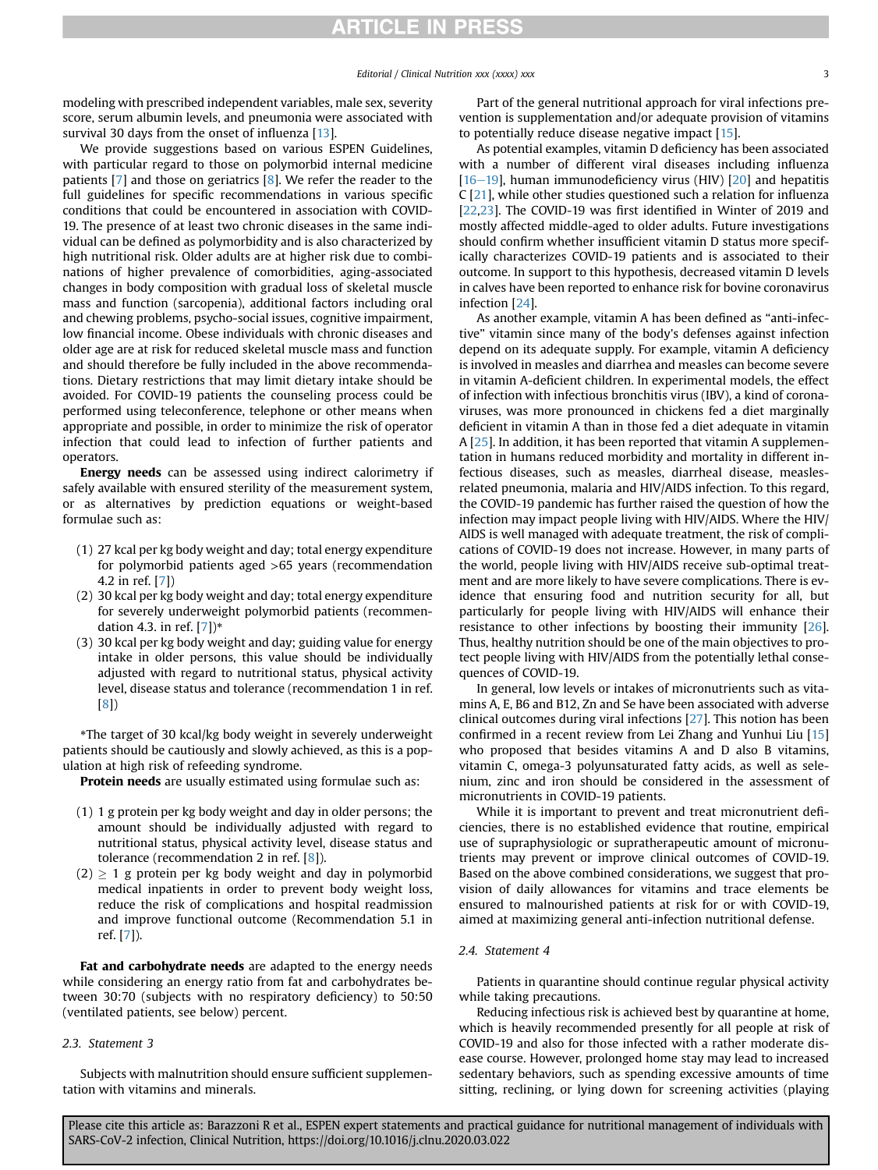modeling with prescribed independent variables, male sex, severity score, serum albumin levels, and pneumonia were associated with survival 30 days from the onset of influenza [[13\]](#page-6-10).

We provide suggestions based on various ESPEN Guidelines, with particular regard to those on polymorbid internal medicine patients [[7](#page-6-3)] and those on geriatrics [\[8](#page-6-4)]. We refer the reader to the full guidelines for specific recommendations in various specific conditions that could be encountered in association with COVID-19. The presence of at least two chronic diseases in the same individual can be defined as polymorbidity and is also characterized by high nutritional risk. Older adults are at higher risk due to combinations of higher prevalence of comorbidities, aging-associated changes in body composition with gradual loss of skeletal muscle mass and function (sarcopenia), additional factors including oral and chewing problems, psycho-social issues, cognitive impairment, low financial income. Obese individuals with chronic diseases and older age are at risk for reduced skeletal muscle mass and function and should therefore be fully included in the above recommendations. Dietary restrictions that may limit dietary intake should be avoided. For COVID-19 patients the counseling process could be performed using teleconference, telephone or other means when appropriate and possible, in order to minimize the risk of operator infection that could lead to infection of further patients and operators.

Energy needs can be assessed using indirect calorimetry if safely available with ensured sterility of the measurement system, or as alternatives by prediction equations or weight-based formulae such as:

- (1) 27 kcal per kg body weight and day; total energy expenditure for polymorbid patients aged >65 years (recommendation 4.2 in ref. [[7](#page-6-3)])
- (2) 30 kcal per kg body weight and day; total energy expenditure for severely underweight polymorbid patients (recommendation 4.3. in ref. [\[7](#page-6-3)])\*
- (3) 30 kcal per kg body weight and day; guiding value for energy intake in older persons, this value should be individually adjusted with regard to nutritional status, physical activity level, disease status and tolerance (recommendation 1 in ref. [\[8](#page-6-4)])

\*The target of 30 kcal/kg body weight in severely underweight patients should be cautiously and slowly achieved, as this is a population at high risk of refeeding syndrome.

Protein needs are usually estimated using formulae such as:

- (1) 1 g protein per kg body weight and day in older persons; the amount should be individually adjusted with regard to nutritional status, physical activity level, disease status and tolerance (recommendation 2 in ref. [[8\]](#page-6-4)).
- $(2) \geq 1$  g protein per kg body weight and day in polymorbid medical inpatients in order to prevent body weight loss, reduce the risk of complications and hospital readmission and improve functional outcome (Recommendation 5.1 in ref. [[7\]](#page-6-3)).

Fat and carbohydrate needs are adapted to the energy needs while considering an energy ratio from fat and carbohydrates between 30:70 (subjects with no respiratory deficiency) to 50:50 (ventilated patients, see below) percent.

## 2.3. Statement 3

Subjects with malnutrition should ensure sufficient supplementation with vitamins and minerals.

Part of the general nutritional approach for viral infections prevention is supplementation and/or adequate provision of vitamins to potentially reduce disease negative impact [[15\]](#page-6-12).

As potential examples, vitamin D deficiency has been associated with a number of different viral diseases including influenza  $[16-19]$  $[16-19]$  $[16-19]$  $[16-19]$ , human immunodeficiency virus (HIV)  $[20]$  and hepatitis C [[21\]](#page-6-15), while other studies questioned such a relation for influenza [\[22,](#page-6-16)[23](#page-6-17)]. The COVID-19 was first identified in Winter of 2019 and mostly affected middle-aged to older adults. Future investigations should confirm whether insufficient vitamin D status more specifically characterizes COVID-19 patients and is associated to their outcome. In support to this hypothesis, decreased vitamin D levels in calves have been reported to enhance risk for bovine coronavirus infection [\[24\]](#page-6-18).

As another example, vitamin A has been defined as "anti-infective" vitamin since many of the body's defenses against infection depend on its adequate supply. For example, vitamin A deficiency is involved in measles and diarrhea and measles can become severe in vitamin A-deficient children. In experimental models, the effect of infection with infectious bronchitis virus (IBV), a kind of coronaviruses, was more pronounced in chickens fed a diet marginally deficient in vitamin A than in those fed a diet adequate in vitamin A [[25](#page-6-19)]. In addition, it has been reported that vitamin A supplementation in humans reduced morbidity and mortality in different infectious diseases, such as measles, diarrheal disease, measlesrelated pneumonia, malaria and HIV/AIDS infection. To this regard, the COVID-19 pandemic has further raised the question of how the infection may impact people living with HIV/AIDS. Where the HIV/ AIDS is well managed with adequate treatment, the risk of complications of COVID-19 does not increase. However, in many parts of the world, people living with HIV/AIDS receive sub-optimal treatment and are more likely to have severe complications. There is evidence that ensuring food and nutrition security for all, but particularly for people living with HIV/AIDS will enhance their resistance to other infections by boosting their immunity [\[26\]](#page-6-20). Thus, healthy nutrition should be one of the main objectives to protect people living with HIV/AIDS from the potentially lethal consequences of COVID-19.

In general, low levels or intakes of micronutrients such as vitamins A, E, B6 and B12, Zn and Se have been associated with adverse clinical outcomes during viral infections [[27](#page-6-21)]. This notion has been confirmed in a recent review from Lei Zhang and Yunhui Liu [[15\]](#page-6-12) who proposed that besides vitamins A and D also B vitamins, vitamin C, omega-3 polyunsaturated fatty acids, as well as selenium, zinc and iron should be considered in the assessment of micronutrients in COVID-19 patients.

While it is important to prevent and treat micronutrient deficiencies, there is no established evidence that routine, empirical use of supraphysiologic or supratherapeutic amount of micronutrients may prevent or improve clinical outcomes of COVID-19. Based on the above combined considerations, we suggest that provision of daily allowances for vitamins and trace elements be ensured to malnourished patients at risk for or with COVID-19, aimed at maximizing general anti-infection nutritional defense.

#### 2.4. Statement 4

Patients in quarantine should continue regular physical activity while taking precautions.

Reducing infectious risk is achieved best by quarantine at home, which is heavily recommended presently for all people at risk of COVID-19 and also for those infected with a rather moderate disease course. However, prolonged home stay may lead to increased sedentary behaviors, such as spending excessive amounts of time sitting, reclining, or lying down for screening activities (playing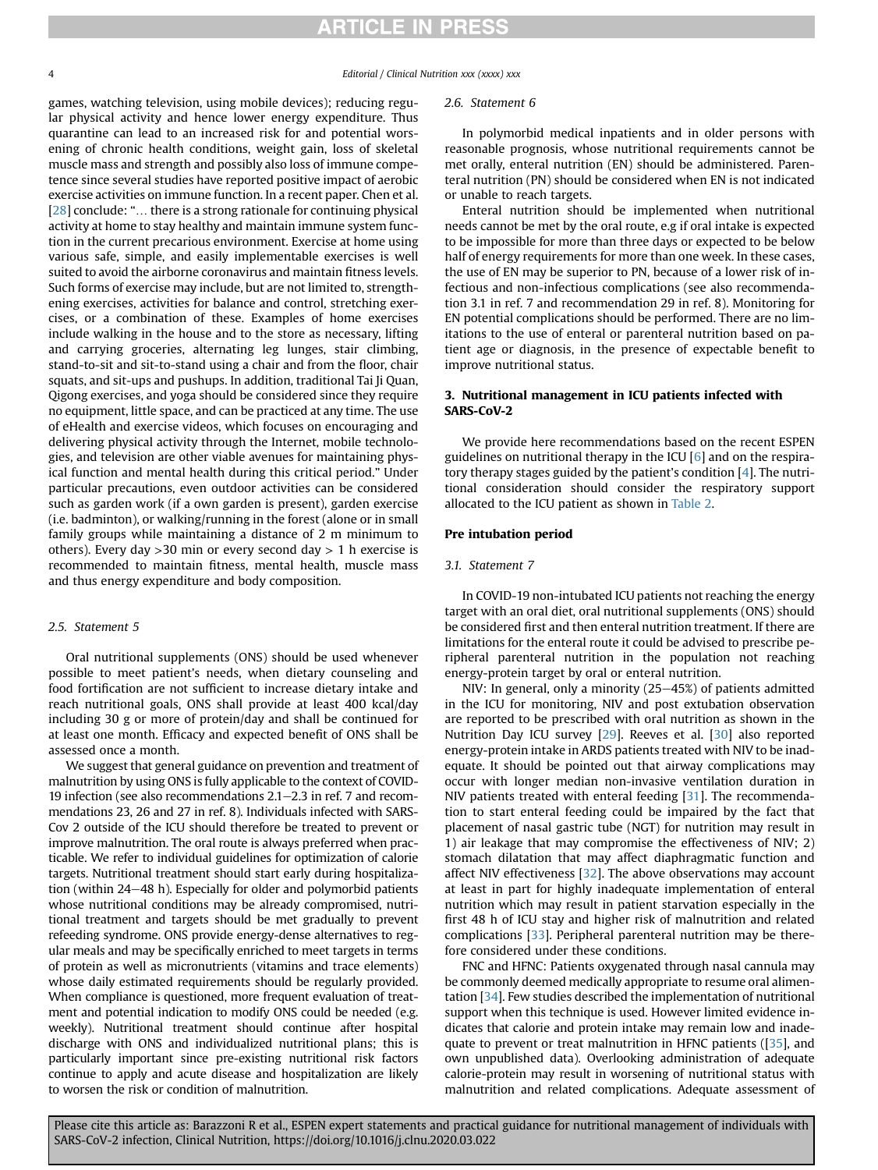Editorial / Clinical Nutrition xxx (xxxx) xxx

games, watching television, using mobile devices); reducing regular physical activity and hence lower energy expenditure. Thus quarantine can lead to an increased risk for and potential worsening of chronic health conditions, weight gain, loss of skeletal muscle mass and strength and possibly also loss of immune competence since several studies have reported positive impact of aerobic exercise activities on immune function. In a recent paper. Chen et al. [[28](#page-6-22)] conclude: "... there is a strong rationale for continuing physical activity at home to stay healthy and maintain immune system function in the current precarious environment. Exercise at home using various safe, simple, and easily implementable exercises is well suited to avoid the airborne coronavirus and maintain fitness levels. Such forms of exercise may include, but are not limited to, strengthening exercises, activities for balance and control, stretching exercises, or a combination of these. Examples of home exercises include walking in the house and to the store as necessary, lifting and carrying groceries, alternating leg lunges, stair climbing, stand-to-sit and sit-to-stand using a chair and from the floor, chair squats, and sit-ups and pushups. In addition, traditional Tai Ji Quan, Qigong exercises, and yoga should be considered since they require no equipment, little space, and can be practiced at any time. The use of eHealth and exercise videos, which focuses on encouraging and delivering physical activity through the Internet, mobile technologies, and television are other viable avenues for maintaining physical function and mental health during this critical period." Under particular precautions, even outdoor activities can be considered such as garden work (if a own garden is present), garden exercise (i.e. badminton), or walking/running in the forest (alone or in small family groups while maintaining a distance of 2 m minimum to others). Every day  $>$  30 min or every second day  $>$  1 h exercise is recommended to maintain fitness, mental health, muscle mass and thus energy expenditure and body composition.

#### 2.5. Statement 5

Oral nutritional supplements (ONS) should be used whenever possible to meet patient's needs, when dietary counseling and food fortification are not sufficient to increase dietary intake and reach nutritional goals, ONS shall provide at least 400 kcal/day including 30 g or more of protein/day and shall be continued for at least one month. Efficacy and expected benefit of ONS shall be assessed once a month.

We suggest that general guidance on prevention and treatment of malnutrition by using ONS is fully applicable to the context of COVID-19 infection (see also recommendations  $2.1-2.3$  in ref. 7 and recommendations 23, 26 and 27 in ref. 8). Individuals infected with SARS-Cov 2 outside of the ICU should therefore be treated to prevent or improve malnutrition. The oral route is always preferred when practicable. We refer to individual guidelines for optimization of calorie targets. Nutritional treatment should start early during hospitalization (within 24-48 h). Especially for older and polymorbid patients whose nutritional conditions may be already compromised, nutritional treatment and targets should be met gradually to prevent refeeding syndrome. ONS provide energy-dense alternatives to regular meals and may be specifically enriched to meet targets in terms of protein as well as micronutrients (vitamins and trace elements) whose daily estimated requirements should be regularly provided. When compliance is questioned, more frequent evaluation of treatment and potential indication to modify ONS could be needed (e.g. weekly). Nutritional treatment should continue after hospital discharge with ONS and individualized nutritional plans; this is particularly important since pre-existing nutritional risk factors continue to apply and acute disease and hospitalization are likely to worsen the risk or condition of malnutrition.

#### 2.6. Statement 6

In polymorbid medical inpatients and in older persons with reasonable prognosis, whose nutritional requirements cannot be met orally, enteral nutrition (EN) should be administered. Parenteral nutrition (PN) should be considered when EN is not indicated or unable to reach targets.

Enteral nutrition should be implemented when nutritional needs cannot be met by the oral route, e.g if oral intake is expected to be impossible for more than three days or expected to be below half of energy requirements for more than one week. In these cases, the use of EN may be superior to PN, because of a lower risk of infectious and non-infectious complications (see also recommendation 3.1 in ref. 7 and recommendation 29 in ref. 8). Monitoring for EN potential complications should be performed. There are no limitations to the use of enteral or parenteral nutrition based on patient age or diagnosis, in the presence of expectable benefit to improve nutritional status.

## 3. Nutritional management in ICU patients infected with SARS-CoV-2

We provide here recommendations based on the recent ESPEN guidelines on nutritional therapy in the ICU [[6\]](#page-6-2) and on the respiratory therapy stages guided by the patient's condition [\[4](#page-6-23)]. The nutritional consideration should consider the respiratory support allocated to the ICU patient as shown in [Table 2.](#page-4-0)

#### Pre intubation period

#### 3.1. Statement 7

In COVID-19 non-intubated ICU patients not reaching the energy target with an oral diet, oral nutritional supplements (ONS) should be considered first and then enteral nutrition treatment. If there are limitations for the enteral route it could be advised to prescribe peripheral parenteral nutrition in the population not reaching energy-protein target by oral or enteral nutrition.

NIV: In general, only a minority  $(25-45%)$  of patients admitted in the ICU for monitoring, NIV and post extubation observation are reported to be prescribed with oral nutrition as shown in the Nutrition Day ICU survey [[29](#page-6-24)]. Reeves et al. [\[30\]](#page-6-25) also reported energy-protein intake in ARDS patients treated with NIV to be inadequate. It should be pointed out that airway complications may occur with longer median non-invasive ventilation duration in NIV patients treated with enteral feeding [[31](#page-6-26)]. The recommendation to start enteral feeding could be impaired by the fact that placement of nasal gastric tube (NGT) for nutrition may result in 1) air leakage that may compromise the effectiveness of NIV; 2) stomach dilatation that may affect diaphragmatic function and affect NIV effectiveness [[32](#page-6-27)]. The above observations may account at least in part for highly inadequate implementation of enteral nutrition which may result in patient starvation especially in the first 48 h of ICU stay and higher risk of malnutrition and related complications [\[33\]](#page-6-28). Peripheral parenteral nutrition may be therefore considered under these conditions.

FNC and HFNC: Patients oxygenated through nasal cannula may be commonly deemed medically appropriate to resume oral alimentation [[34\]](#page-6-29). Few studies described the implementation of nutritional support when this technique is used. However limited evidence indicates that calorie and protein intake may remain low and inadequate to prevent or treat malnutrition in HFNC patients ([\[35](#page-6-30)], and own unpublished data). Overlooking administration of adequate calorie-protein may result in worsening of nutritional status with malnutrition and related complications. Adequate assessment of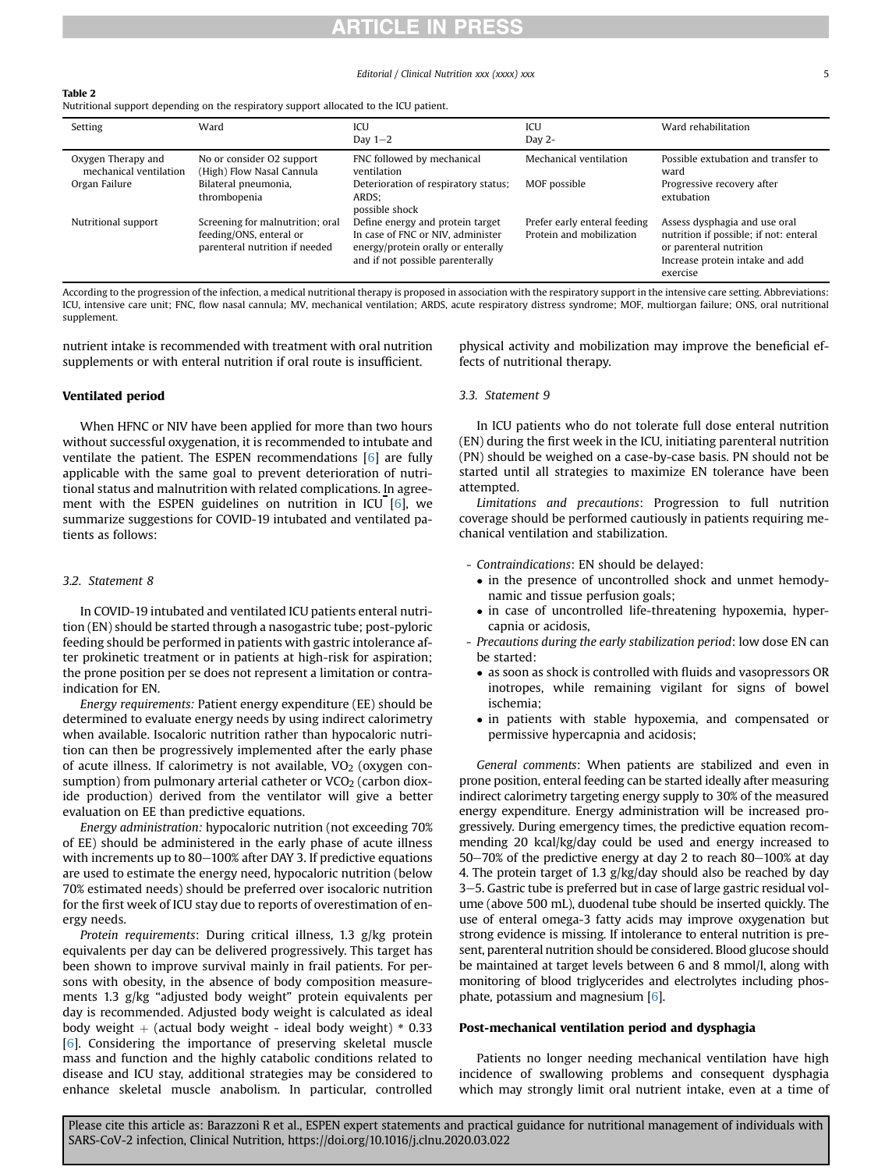#### Editorial / Clinical Nutrition xxx (xxxx) xxx  $\overline{\phantom{a}}$  5

<span id="page-4-0"></span>Table 2

| Nutritional support depending on the respiratory support allocated to the ICU patient. |
|----------------------------------------------------------------------------------------|
|----------------------------------------------------------------------------------------|

| Setting                                      | Ward                                                                                          | ICU<br>Day $1-2$                                                                                                                                | <b>ICU</b><br>Day $2-$                                   | Ward rehabilitation                                                                                                                               |
|----------------------------------------------|-----------------------------------------------------------------------------------------------|-------------------------------------------------------------------------------------------------------------------------------------------------|----------------------------------------------------------|---------------------------------------------------------------------------------------------------------------------------------------------------|
| Oxygen Therapy and<br>mechanical ventilation | No or consider O2 support<br>(High) Flow Nasal Cannula                                        | FNC followed by mechanical<br>ventilation                                                                                                       | Mechanical ventilation                                   | Possible extubation and transfer to<br>ward                                                                                                       |
| Organ Failure                                | Bilateral pneumonia,<br>thrombopenia                                                          | Deterioration of respiratory status;<br>ARDS:<br>possible shock                                                                                 | MOF possible                                             | Progressive recovery after<br>extubation                                                                                                          |
| Nutritional support                          | Screening for malnutrition; oral<br>feeding/ONS, enteral or<br>parenteral nutrition if needed | Define energy and protein target<br>In case of FNC or NIV, administer<br>energy/protein orally or enterally<br>and if not possible parenterally | Prefer early enteral feeding<br>Protein and mobilization | Assess dysphagia and use oral<br>nutrition if possible; if not: enteral<br>or parenteral nutrition<br>Increase protein intake and add<br>exercise |

According to the progression of the infection, a medical nutritional therapy is proposed in association with the respiratory support in the intensive care setting. Abbreviations: ICU, intensive care unit; FNC, flow nasal cannula; MV, mechanical ventilation; ARDS, acute respiratory distress syndrome; MOF, multiorgan failure; ONS, oral nutritional supplement.

nutrient intake is recommended with treatment with oral nutrition supplements or with enteral nutrition if oral route is insufficient.

### Ventilated period

When HFNC or NIV have been applied for more than two hours without successful oxygenation, it is recommended to intubate and ventilate the patient. The ESPEN recommendations [[6](#page-6-2)] are fully applicable with the same goal to prevent deterioration of nutritional status and malnutrition with related complications. In agreement with the ESPEN guidelines on nutrition in ICU [[6](#page-6-2)], we summarize suggestions for COVID-19 intubated and ventilated patients as follows:

### 3.2. Statement 8

In COVID-19 intubated and ventilated ICU patients enteral nutrition (EN) should be started through a nasogastric tube; post-pyloric feeding should be performed in patients with gastric intolerance after prokinetic treatment or in patients at high-risk for aspiration; the prone position per se does not represent a limitation or contraindication for EN.

Energy requirements: Patient energy expenditure (EE) should be determined to evaluate energy needs by using indirect calorimetry when available. Isocaloric nutrition rather than hypocaloric nutrition can then be progressively implemented after the early phase of acute illness. If calorimetry is not available,  $VO<sub>2</sub>$  (oxygen consumption) from pulmonary arterial catheter or  $VCO<sub>2</sub>$  (carbon dioxide production) derived from the ventilator will give a better evaluation on EE than predictive equations.

Energy administration: hypocaloric nutrition (not exceeding 70% of EE) should be administered in the early phase of acute illness with increments up to  $80-100\%$  after DAY 3. If predictive equations are used to estimate the energy need, hypocaloric nutrition (below 70% estimated needs) should be preferred over isocaloric nutrition for the first week of ICU stay due to reports of overestimation of energy needs.

Protein requirements: During critical illness, 1.3 g/kg protein equivalents per day can be delivered progressively. This target has been shown to improve survival mainly in frail patients. For persons with obesity, in the absence of body composition measurements 1.3 g/kg "adjusted body weight" protein equivalents per day is recommended. Adjusted body weight is calculated as ideal body weight  $+$  (actual body weight - ideal body weight) \* 0.33 [\[6](#page-6-2)]. Considering the importance of preserving skeletal muscle mass and function and the highly catabolic conditions related to disease and ICU stay, additional strategies may be considered to enhance skeletal muscle anabolism. In particular, controlled physical activity and mobilization may improve the beneficial effects of nutritional therapy.

### 3.3. Statement 9

In ICU patients who do not tolerate full dose enteral nutrition (EN) during the first week in the ICU, initiating parenteral nutrition (PN) should be weighed on a case-by-case basis. PN should not be started until all strategies to maximize EN tolerance have been attempted.

Limitations and precautions: Progression to full nutrition coverage should be performed cautiously in patients requiring mechanical ventilation and stabilization.

- Contraindications: EN should be delayed:
	- in the presence of uncontrolled shock and unmet hemodynamic and tissue perfusion goals;
	- in case of uncontrolled life-threatening hypoxemia, hypercapnia or acidosis,
- Precautions during the early stabilization period: low dose EN can be started:
	- as soon as shock is controlled with fluids and vasopressors OR inotropes, while remaining vigilant for signs of bowel ischemia;
	- in patients with stable hypoxemia, and compensated or permissive hypercapnia and acidosis;

General comments: When patients are stabilized and even in prone position, enteral feeding can be started ideally after measuring indirect calorimetry targeting energy supply to 30% of the measured energy expenditure. Energy administration will be increased progressively. During emergency times, the predictive equation recommending 20 kcal/kg/day could be used and energy increased to  $50-70%$  of the predictive energy at day 2 to reach 80-100% at day 4. The protein target of 1.3  $g/kg$  day should also be reached by day 3-5. Gastric tube is preferred but in case of large gastric residual volume (above 500 mL), duodenal tube should be inserted quickly. The use of enteral omega-3 fatty acids may improve oxygenation but strong evidence is missing. If intolerance to enteral nutrition is present, parenteral nutrition should be considered. Blood glucose should be maintained at target levels between 6 and 8 mmol/l, along with monitoring of blood triglycerides and electrolytes including phosphate, potassium and magnesium [\[6\]](#page-6-2).

#### Post-mechanical ventilation period and dysphagia

Patients no longer needing mechanical ventilation have high incidence of swallowing problems and consequent dysphagia which may strongly limit oral nutrient intake, even at a time of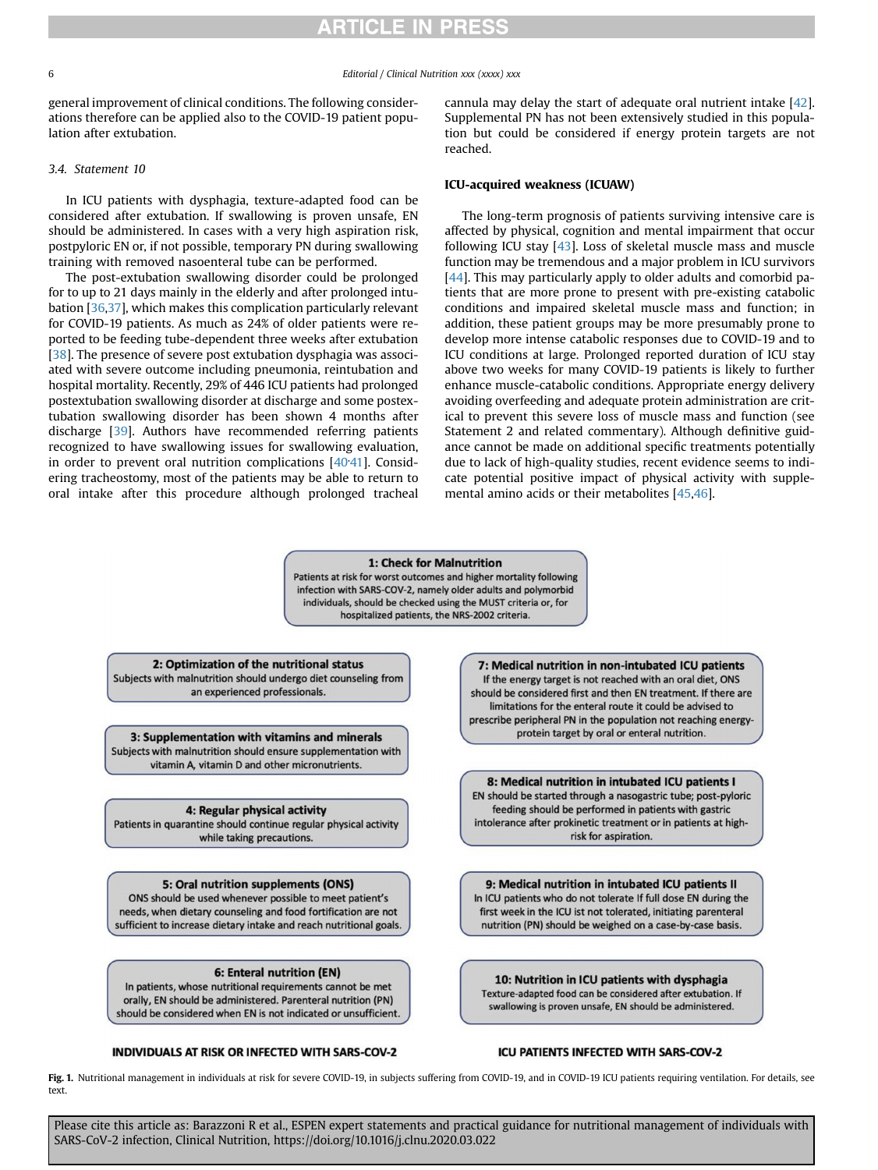6 Editorial / Clinical Nutrition xxx (xxxx) xxx

general improvement of clinical conditions. The following considerations therefore can be applied also to the COVID-19 patient population after extubation.

## 3.4. Statement 10

In ICU patients with dysphagia, texture-adapted food can be considered after extubation. If swallowing is proven unsafe, EN should be administered. In cases with a very high aspiration risk, postpyloric EN or, if not possible, temporary PN during swallowing training with removed nasoenteral tube can be performed.

The post-extubation swallowing disorder could be prolonged for to up to 21 days mainly in the elderly and after prolonged intubation [[36](#page-6-31)[,37](#page-7-0)], which makes this complication particularly relevant for COVID-19 patients. As much as 24% of older patients were reported to be feeding tube-dependent three weeks after extubation [[38](#page-7-1)]. The presence of severe post extubation dysphagia was associated with severe outcome including pneumonia, reintubation and hospital mortality. Recently, 29% of 446 ICU patients had prolonged postextubation swallowing disorder at discharge and some postextubation swallowing disorder has been shown 4 months after discharge [\[39\]](#page-7-2). Authors have recommended referring patients recognized to have swallowing issues for swallowing evaluation, in order to prevent oral nutrition complications [[40](#page-7-3)<sup>,</sup>[41\]](#page-7-4). Considering tracheostomy, most of the patients may be able to return to oral intake after this procedure although prolonged tracheal cannula may delay the start of adequate oral nutrient intake [[42](#page-7-5)]. Supplemental PN has not been extensively studied in this population but could be considered if energy protein targets are not reached.

#### ICU-acquired weakness (ICUAW)

The long-term prognosis of patients surviving intensive care is affected by physical, cognition and mental impairment that occur following ICU stay [\[43\]](#page-7-6). Loss of skeletal muscle mass and muscle function may be tremendous and a major problem in ICU survivors [[44](#page-7-7)]. This may particularly apply to older adults and comorbid patients that are more prone to present with pre-existing catabolic conditions and impaired skeletal muscle mass and function; in addition, these patient groups may be more presumably prone to develop more intense catabolic responses due to COVID-19 and to ICU conditions at large. Prolonged reported duration of ICU stay above two weeks for many COVID-19 patients is likely to further enhance muscle-catabolic conditions. Appropriate energy delivery avoiding overfeeding and adequate protein administration are critical to prevent this severe loss of muscle mass and function (see Statement 2 and related commentary). Although definitive guidance cannot be made on additional specific treatments potentially due to lack of high-quality studies, recent evidence seems to indicate potential positive impact of physical activity with supplemental amino acids or their metabolites [\[45](#page-7-8),[46](#page-7-9)].

#### 1: Check for Malnutrition

Patients at risk for worst outcomes and higher mortality following infection with SARS-COV-2, namely older adults and polymorbid individuals, should be checked using the MUST criteria or, for hospitalized patients, the NRS-2002 criteria.

<span id="page-5-0"></span>2: Optimization of the nutritional status Subjects with malnutrition should undergo diet counseling from an experienced professionals.

3: Supplementation with vitamins and minerals Subjects with malnutrition should ensure supplementation with vitamin A, vitamin D and other micronutrients.

#### 4: Regular physical activity

Patients in quarantine should continue regular physical activity while taking precautions.

5: Oral nutrition supplements (ONS)

ONS should be used whenever possible to meet patient's needs, when dietary counseling and food fortification are not sufficient to increase dietary intake and reach nutritional goals.

#### 6: Enteral nutrition (EN)

In patients, whose nutritional requirements cannot be met orally, EN should be administered. Parenteral nutrition (PN) should be considered when EN is not indicated or unsufficient.

## INDIVIDUALS AT RISK OR INFECTED WITH SARS-COV-2

7: Medical nutrition in non-intubated ICU patients If the energy target is not reached with an oral diet, ONS should be considered first and then EN treatment. If there are limitations for the enteral route it could be advised to prescribe peripheral PN in the population not reaching energyprotein target by oral or enteral nutrition.

8: Medical nutrition in intubated ICU patients I EN should be started through a nasogastric tube; post-pyloric feeding should be performed in patients with gastric intolerance after prokinetic treatment or in patients at highrisk for aspiration.

9: Medical nutrition in intubated ICU patients II In ICU patients who do not tolerate If full dose EN during the first week in the ICU ist not tolerated, initiating parenteral nutrition (PN) should be weighed on a case-by-case basis.

10: Nutrition in ICU patients with dysphagia Texture-adapted food can be considered after extubation. If swallowing is proven unsafe, EN should be administered.

## ICU PATIENTS INFECTED WITH SARS-COV-2

Fig. 1. Nutritional management in individuals at risk for severe COVID-19, in subjects suffering from COVID-19, and in COVID-19 ICU patients requiring ventilation. For details, see text.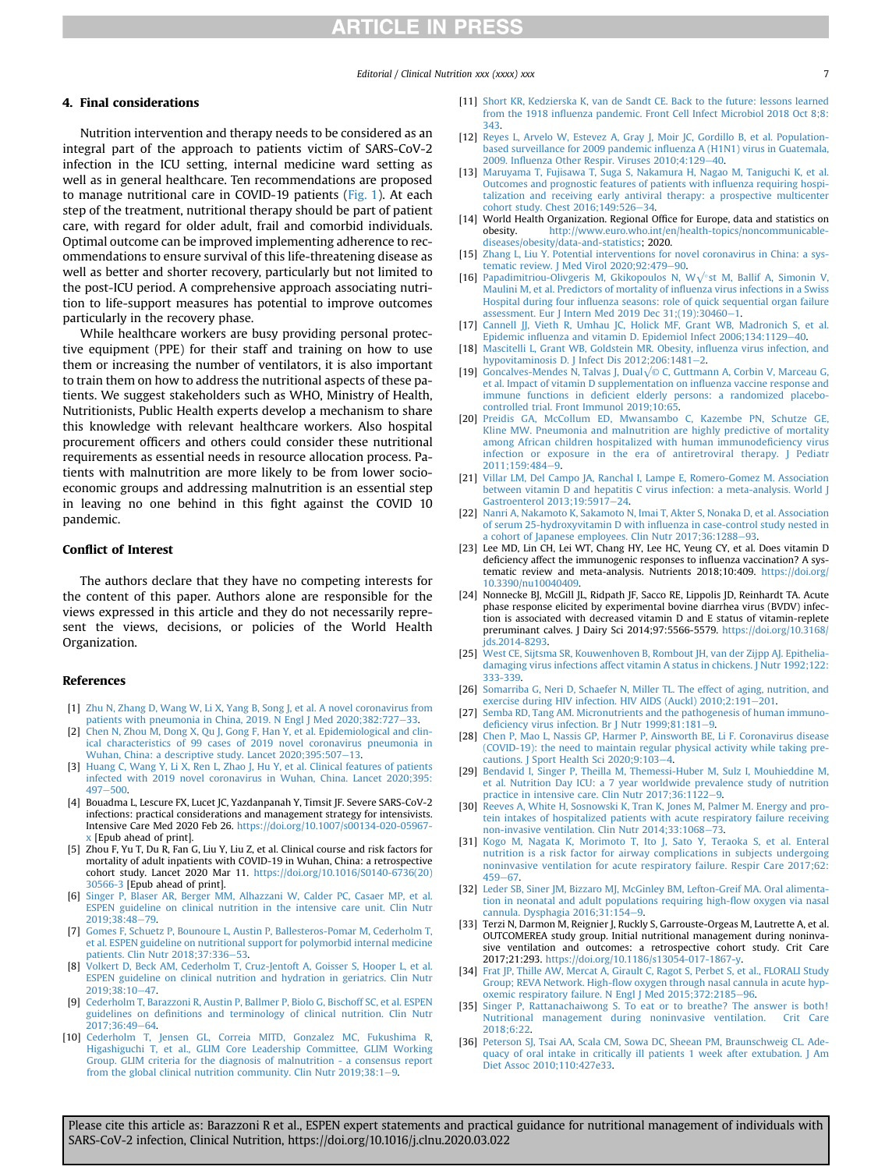Editorial / Clinical Nutrition xxx (xxxx) xxx

#### 4. Final considerations

Nutrition intervention and therapy needs to be considered as an integral part of the approach to patients victim of SARS-CoV-2 infection in the ICU setting, internal medicine ward setting as well as in general healthcare. Ten recommendations are proposed to manage nutritional care in COVID-19 patients [\(Fig. 1](#page-5-0)). At each step of the treatment, nutritional therapy should be part of patient care, with regard for older adult, frail and comorbid individuals. Optimal outcome can be improved implementing adherence to recommendations to ensure survival of this life-threatening disease as well as better and shorter recovery, particularly but not limited to the post-ICU period. A comprehensive approach associating nutrition to life-support measures has potential to improve outcomes particularly in the recovery phase.

While healthcare workers are busy providing personal protective equipment (PPE) for their staff and training on how to use them or increasing the number of ventilators, it is also important to train them on how to address the nutritional aspects of these patients. We suggest stakeholders such as WHO, Ministry of Health, Nutritionists, Public Health experts develop a mechanism to share this knowledge with relevant healthcare workers. Also hospital procurement officers and others could consider these nutritional requirements as essential needs in resource allocation process. Patients with malnutrition are more likely to be from lower socioeconomic groups and addressing malnutrition is an essential step in leaving no one behind in this fight against the COVID 10 pandemic.

#### Conflict of Interest

The authors declare that they have no competing interests for the content of this paper. Authors alone are responsible for the views expressed in this article and they do not necessarily represent the views, decisions, or policies of the World Health Organization.

#### References

- <span id="page-6-0"></span>[1] [Zhu N, Zhang D, Wang W, Li X, Yang B, Song J, et al. A novel coronavirus from](http://refhub.elsevier.com/S0261-5614(20)30140-0/sref1) [patients with pneumonia in China, 2019. N Engl J Med 2020;382:727](http://refhub.elsevier.com/S0261-5614(20)30140-0/sref1)-[33.](http://refhub.elsevier.com/S0261-5614(20)30140-0/sref1)
- <span id="page-6-7"></span>[Chen N, Zhou M, Dong X, Qu J, Gong F, Han Y, et al. Epidemiological and clin](http://refhub.elsevier.com/S0261-5614(20)30140-0/sref2)[ical characteristics of 99 cases of 2019 novel coronavirus pneumonia in](http://refhub.elsevier.com/S0261-5614(20)30140-0/sref2) [Wuhan, China: a descriptive study. Lancet 2020;395:507](http://refhub.elsevier.com/S0261-5614(20)30140-0/sref2)-[13.](http://refhub.elsevier.com/S0261-5614(20)30140-0/sref2)
- <span id="page-6-1"></span>[3] [Huang C, Wang Y, Li X, Ren L, Zhao J, Hu Y, et al. Clinical features of patients](http://refhub.elsevier.com/S0261-5614(20)30140-0/sref3) [infected with 2019 novel coronavirus in Wuhan, China. Lancet 2020;395:](http://refhub.elsevier.com/S0261-5614(20)30140-0/sref3) [497](http://refhub.elsevier.com/S0261-5614(20)30140-0/sref3)-[500](http://refhub.elsevier.com/S0261-5614(20)30140-0/sref3)
- <span id="page-6-23"></span>[4] Bouadma L, Lescure FX, Lucet JC, Yazdanpanah Y, Timsit JF. Severe SARS-CoV-2 infections: practical considerations and management strategy for intensivists. Intensive Care Med 2020 Feb 26. [https://doi.org/10.1007/s00134-020-05967](https://doi.org/10.1007/s00134-020-05967-x) [x](https://doi.org/10.1007/s00134-020-05967-x) [Epub ahead of print].
- [5] Zhou F, Yu T, Du R, Fan G, Liu Y, Liu Z, et al. Clinical course and risk factors for mortality of adult inpatients with COVID-19 in Wuhan, China: a retrospective cohort study. Lancet 2020 Mar 11. [https://doi.org/10.1016/S0140-6736\(20\)](https://doi.org/10.1016/S0140-6736(20)30566-3) [30566-3](https://doi.org/10.1016/S0140-6736(20)30566-3) [Epub ahead of print].
- <span id="page-6-2"></span>[6] [Singer P, Blaser AR, Berger MM, Alhazzani W, Calder PC, Casaer MP, et al.](http://refhub.elsevier.com/S0261-5614(20)30140-0/sref6) [ESPEN guideline on clinical nutrition in the intensive care unit. Clin Nutr](http://refhub.elsevier.com/S0261-5614(20)30140-0/sref6) [2019;38:48](http://refhub.elsevier.com/S0261-5614(20)30140-0/sref6)-[79.](http://refhub.elsevier.com/S0261-5614(20)30140-0/sref6)
- <span id="page-6-3"></span>[7] [Gomes F, Schuetz P, Bounoure L, Austin P, Ballesteros-Pomar M, Cederholm T,](http://refhub.elsevier.com/S0261-5614(20)30140-0/sref7) [et al. ESPEN guideline on nutritional support for polymorbid internal medicine](http://refhub.elsevier.com/S0261-5614(20)30140-0/sref7) [patients. Clin Nutr 2018;37:336](http://refhub.elsevier.com/S0261-5614(20)30140-0/sref7)-[53.](http://refhub.elsevier.com/S0261-5614(20)30140-0/sref7)
- <span id="page-6-4"></span>[Volkert D, Beck AM, Cederholm T, Cruz-Jentoft A, Goisser S, Hooper L, et al.](http://refhub.elsevier.com/S0261-5614(20)30140-0/sref8) [ESPEN guideline on clinical nutrition and hydration in geriatrics. Clin Nutr](http://refhub.elsevier.com/S0261-5614(20)30140-0/sref8) [2019;38:10](http://refhub.elsevier.com/S0261-5614(20)30140-0/sref8)-[47.](http://refhub.elsevier.com/S0261-5614(20)30140-0/sref8)
- <span id="page-6-5"></span>[9] [Cederholm T, Barazzoni R, Austin P, Ballmer P, Biolo G, Bischoff SC, et al. ESPEN](http://refhub.elsevier.com/S0261-5614(20)30140-0/sref9) guidelines on defi[nitions and terminology of clinical nutrition. Clin Nutr](http://refhub.elsevier.com/S0261-5614(20)30140-0/sref9) [2017;36:49](http://refhub.elsevier.com/S0261-5614(20)30140-0/sref9)-[64.](http://refhub.elsevier.com/S0261-5614(20)30140-0/sref9)
- <span id="page-6-6"></span>[10] [Cederholm T, Jensen GL, Correia MITD, Gonzalez MC, Fukushima R,](http://refhub.elsevier.com/S0261-5614(20)30140-0/sref10) [Higashiguchi T, et al., GLIM Core Leadership Committee, GLIM Working](http://refhub.elsevier.com/S0261-5614(20)30140-0/sref10) [Group. GLIM criteria for the diagnosis of malnutrition - a consensus report](http://refhub.elsevier.com/S0261-5614(20)30140-0/sref10) [from the global clinical nutrition community. Clin Nutr 2019;38:1](http://refhub.elsevier.com/S0261-5614(20)30140-0/sref10)-[9.](http://refhub.elsevier.com/S0261-5614(20)30140-0/sref10)
- <span id="page-6-8"></span>[11] [Short KR, Kedzierska K, van de Sandt CE. Back to the future: lessons learned](http://refhub.elsevier.com/S0261-5614(20)30140-0/sref11) from the 1918 infl[uenza pandemic. Front Cell Infect Microbiol 2018 Oct 8;8:](http://refhub.elsevier.com/S0261-5614(20)30140-0/sref11) [343](http://refhub.elsevier.com/S0261-5614(20)30140-0/sref11).
- <span id="page-6-9"></span>[12] [Reyes L, Arvelo W, Estevez A, Gray J, Moir JC, Gordillo B, et al. Population](http://refhub.elsevier.com/S0261-5614(20)30140-0/sref12)[based surveillance for 2009 pandemic in](http://refhub.elsevier.com/S0261-5614(20)30140-0/sref12)fluenza A (H1N1) virus in Guatemala, 2009. Influenza Other Respir. Viruses  $2010;4;129-40$  $2010;4;129-40$ .
- <span id="page-6-10"></span>[13] [Maruyama T, Fujisawa T, Suga S, Nakamura H, Nagao M, Taniguchi K, et al.](http://refhub.elsevier.com/S0261-5614(20)30140-0/sref13) [Outcomes and prognostic features of patients with in](http://refhub.elsevier.com/S0261-5614(20)30140-0/sref13)fluenza requiring hospi[talization and receiving early antiviral therapy: a prospective multicenter](http://refhub.elsevier.com/S0261-5614(20)30140-0/sref13)  $\frac{1}{2}$ [cohort study. Chest 2016;149:526](http://refhub.elsevier.com/S0261-5614(20)30140-0/sref13)-[34](http://refhub.elsevier.com/S0261-5614(20)30140-0/sref13).
- <span id="page-6-11"></span>[14] World Health Organization. Regional Office for Europe, data and statistics on obesity. [http://www.euro.who.int/en/health-topics/noncommunicable](http://www.euro.who.int/en/health-topics/noncommunicable-diseases/obesity/data-and-statistics)[diseases/obesity/data-and-statistics](http://www.euro.who.int/en/health-topics/noncommunicable-diseases/obesity/data-and-statistics); 2020.
- <span id="page-6-12"></span>[15] [Zhang L, Liu Y. Potential interventions for novel coronavirus in China: a sys](http://refhub.elsevier.com/S0261-5614(20)30140-0/sref15)tematic review. I Med Virol  $2020:92:479-90$  $2020:92:479-90$ .
- <span id="page-6-13"></span>[16] [Papadimitriou-Olivgeris M, Gkikopoulos N, W](http://refhub.elsevier.com/S0261-5614(20)30140-0/sref16)√°[st M, Ballif A, Simonin V,](http://refhub.elsevier.com/S0261-5614(20)30140-0/sref16) [Maulini M, et al. Predictors of mortality of in](http://refhub.elsevier.com/S0261-5614(20)30140-0/sref16)fluenza virus infections in a Swiss Hospital during four infl[uenza seasons: role of quick sequential organ failure](http://refhub.elsevier.com/S0261-5614(20)30140-0/sref16)
- [assessment. Eur J Intern Med 2019 Dec 31;\(19\):30460](http://refhub.elsevier.com/S0261-5614(20)30140-0/sref16)–[1](http://refhub.elsevier.com/S0261-5614(20)30140-0/sref16).<br>[17] [Cannell JJ, Vieth R, Umhau JC, Holick MF, Grant WB, Madronich S, et al.](http://refhub.elsevier.com/S0261-5614(20)30140-0/sref17) Epidemic influenza and vitamin D. Epidemiol Infect  $2006:134:1129-40$ .
- [18] [Mascitelli L, Grant WB, Goldstein MR. Obesity, in](http://refhub.elsevier.com/S0261-5614(20)30140-0/sref18)fluenza virus infection, and [hypovitaminosis D. J Infect Dis 2012;206:1481](http://refhub.elsevier.com/S0261-5614(20)30140-0/sref18)-[2.](http://refhub.elsevier.com/S0261-5614(20)30140-0/sref18)
- [19] Goncalves-Mendes N, Talvas J, Dual√© [C, Guttmann A, Corbin V, Marceau G,](http://refhub.elsevier.com/S0261-5614(20)30140-0/sref19) [et al. Impact of vitamin D supplementation on in](http://refhub.elsevier.com/S0261-5614(20)30140-0/sref19)fluenza vaccine response and immune functions in defi[cient elderly persons: a randomized placebo](http://refhub.elsevier.com/S0261-5614(20)30140-0/sref19)[controlled trial. Front Immunol 2019;10:65](http://refhub.elsevier.com/S0261-5614(20)30140-0/sref19).
- <span id="page-6-14"></span>[20] [Preidis GA, McCollum ED, Mwansambo C, Kazembe PN, Schutze GE,](http://refhub.elsevier.com/S0261-5614(20)30140-0/sref20) [Kline MW. Pneumonia and malnutrition are highly predictive of mortality](http://refhub.elsevier.com/S0261-5614(20)30140-0/sref20) [among African children hospitalized with human immunode](http://refhub.elsevier.com/S0261-5614(20)30140-0/sref20)ficiency virus [infection or exposure in the era of antiretroviral therapy. J Pediatr](http://refhub.elsevier.com/S0261-5614(20)30140-0/sref20) 2011:15[9](http://refhub.elsevier.com/S0261-5614(20)30140-0/sref20):484-9.
- <span id="page-6-15"></span>[21] [Villar LM, Del Campo JA, Ranchal I, Lampe E, Romero-Gomez M. Association](http://refhub.elsevier.com/S0261-5614(20)30140-0/sref21) [between vitamin D and hepatitis C virus infection: a meta-analysis. World J](http://refhub.elsevier.com/S0261-5614(20)30140-0/sref21) [Gastroenterol 2013;19:5917](http://refhub.elsevier.com/S0261-5614(20)30140-0/sref21)-[24.](http://refhub.elsevier.com/S0261-5614(20)30140-0/sref21)
- <span id="page-6-16"></span>[22] [Nanri A, Nakamoto K, Sakamoto N, Imai T, Akter S, Nonaka D, et al. Association](http://refhub.elsevier.com/S0261-5614(20)30140-0/sref22) [of serum 25-hydroxyvitamin D with in](http://refhub.elsevier.com/S0261-5614(20)30140-0/sref22)fluenza in case-control study nested in [a cohort of Japanese employees. Clin Nutr 2017;36:1288](http://refhub.elsevier.com/S0261-5614(20)30140-0/sref22)-[93](http://refhub.elsevier.com/S0261-5614(20)30140-0/sref22).
- <span id="page-6-17"></span>[23] Lee MD, Lin CH, Lei WT, Chang HY, Lee HC, Yeung CY, et al. Does vitamin D deficiency affect the immunogenic responses to influenza vaccination? A systematic review and meta-analysis. Nutrients 2018;10:409. [https://doi.org/](https://doi.org/10.3390/nu10040409) [10.3390/nu10040409.](https://doi.org/10.3390/nu10040409)
- <span id="page-6-18"></span>[24] Nonnecke BJ, McGill JL, Ridpath JF, Sacco RE, Lippolis JD, Reinhardt TA. Acute phase response elicited by experimental bovine diarrhea virus (BVDV) infection is associated with decreased vitamin D and E status of vitamin-replete preruminant calves. J Dairy Sci 2014;97:5566-5579. [https://doi.org/10.3168/](https://doi.org/10.3168/jds.2014-8293) [jds.2014-8293](https://doi.org/10.3168/jds.2014-8293).
- <span id="page-6-19"></span>[25] [West CE, Sijtsma SR, Kouwenhoven B, Rombout JH, van der Zijpp AJ. Epithelia](http://refhub.elsevier.com/S0261-5614(20)30140-0/sref25)[damaging virus infections affect vitamin A status in chickens. J Nutr 1992;122:](http://refhub.elsevier.com/S0261-5614(20)30140-0/sref25) [333-339](http://refhub.elsevier.com/S0261-5614(20)30140-0/sref25).
- <span id="page-6-20"></span>[26] [Somarriba G, Neri D, Schaefer N, Miller TL. The effect of aging, nutrition, and](http://refhub.elsevier.com/S0261-5614(20)30140-0/sref56) [exercise during HIV infection. HIV AIDS \(Auckl\) 2010;2:191](http://refhub.elsevier.com/S0261-5614(20)30140-0/sref56)-[201](http://refhub.elsevier.com/S0261-5614(20)30140-0/sref56).
- <span id="page-6-21"></span>[27] [Semba RD, Tang AM. Micronutrients and the pathogenesis of human immuno](http://refhub.elsevier.com/S0261-5614(20)30140-0/sref26)defi[ciency virus infection. Br J Nutr 1999;81:181](http://refhub.elsevier.com/S0261-5614(20)30140-0/sref26)-[9.](http://refhub.elsevier.com/S0261-5614(20)30140-0/sref26)
- <span id="page-6-22"></span>[28] [Chen P, Mao L, Nassis GP, Harmer P, Ainsworth BE, Li F. Coronavirus disease](http://refhub.elsevier.com/S0261-5614(20)30140-0/sref27) [\(COVID-19\): the need to maintain regular physical activity while taking pre](http://refhub.elsevier.com/S0261-5614(20)30140-0/sref27)[cautions. J Sport Health Sci 2020;9:103](http://refhub.elsevier.com/S0261-5614(20)30140-0/sref27)-[4](http://refhub.elsevier.com/S0261-5614(20)30140-0/sref27).
- <span id="page-6-24"></span>[29] [Bendavid I, Singer P, Theilla M, Themessi-Huber M, Sulz I, Mouhieddine M,](http://refhub.elsevier.com/S0261-5614(20)30140-0/sref29) [et al. Nutrition Day ICU: a 7 year worldwide prevalence study of nutrition](http://refhub.elsevier.com/S0261-5614(20)30140-0/sref29) [practice in intensive care. Clin Nutr 2017;36:1122](http://refhub.elsevier.com/S0261-5614(20)30140-0/sref29)-[9.](http://refhub.elsevier.com/S0261-5614(20)30140-0/sref29)
- <span id="page-6-25"></span>[30] [Reeves A, White H, Sosnowski K, Tran K, Jones M, Palmer M. Energy and pro](http://refhub.elsevier.com/S0261-5614(20)30140-0/sref46)[tein intakes of hospitalized patients with acute respiratory failure receiving](http://refhub.elsevier.com/S0261-5614(20)30140-0/sref46) [non-invasive ventilation. Clin Nutr 2014;33:1068](http://refhub.elsevier.com/S0261-5614(20)30140-0/sref46)-[73.](http://refhub.elsevier.com/S0261-5614(20)30140-0/sref46)
- <span id="page-6-26"></span>[31] [Kogo M, Nagata K, Morimoto T, Ito J, Sato Y, Teraoka S, et al. Enteral](http://refhub.elsevier.com/S0261-5614(20)30140-0/sref30) [nutrition is a risk factor for airway complications in subjects undergoing](http://refhub.elsevier.com/S0261-5614(20)30140-0/sref30) [noninvasive ventilation for acute respiratory failure. Respir Care 2017;62:](http://refhub.elsevier.com/S0261-5614(20)30140-0/sref30)  $459 - 67$  $459 - 67$  $459 - 67$ .
- <span id="page-6-27"></span>[32] [Leder SB, Siner JM, Bizzaro MJ, McGinley BM, Lefton-Greif MA. Oral alimenta](http://refhub.elsevier.com/S0261-5614(20)30140-0/sref31)[tion in neonatal and adult populations requiring high-](http://refhub.elsevier.com/S0261-5614(20)30140-0/sref31)flow oxygen via nasal [cannula. Dysphagia 2016;31:154](http://refhub.elsevier.com/S0261-5614(20)30140-0/sref31)-[9](http://refhub.elsevier.com/S0261-5614(20)30140-0/sref31).
- <span id="page-6-28"></span>[33] Terzi N, Darmon M, Reignier J, Ruckly S, Garrouste-Orgeas M, Lautrette A, et al. OUTCOMEREA study group. Initial nutritional management during noninvasive ventilation and outcomes: a retrospective cohort study. Crit Care 2017;21:293. [https://doi.org/10.1186/s13054-017-1867-y.](https://doi.org/10.1186/s13054-017-1867-y)
- <span id="page-6-29"></span>[34] [Frat JP, Thille AW, Mercat A, Girault C, Ragot S, Perbet S, et al., FLORALI Study](http://refhub.elsevier.com/S0261-5614(20)30140-0/sref33) Group; REVA Network. High-fl[ow oxygen through nasal cannula in acute hyp](http://refhub.elsevier.com/S0261-5614(20)30140-0/sref33)[oxemic respiratory failure. N Engl J Med 2015;372:2185](http://refhub.elsevier.com/S0261-5614(20)30140-0/sref33)-[96](http://refhub.elsevier.com/S0261-5614(20)30140-0/sref33).
- <span id="page-6-30"></span>[35] [Singer P, Rattanachaiwong S. To eat or to breathe? The answer is both!](http://refhub.elsevier.com/S0261-5614(20)30140-0/sref34)<br>Nutritional management during noninvasive ventilation. Crit Care Nutritional management during noninvasive ventilation. [2018;6:22.](http://refhub.elsevier.com/S0261-5614(20)30140-0/sref34)
- <span id="page-6-31"></span>[36] [Peterson SJ, Tsai AA, Scala CM, Sowa DC, Sheean PM, Braunschweig CL. Ade](http://refhub.elsevier.com/S0261-5614(20)30140-0/sref35)[quacy of oral intake in critically ill patients 1 week after extubation. J Am](http://refhub.elsevier.com/S0261-5614(20)30140-0/sref35) [Diet Assoc 2010;110:427e33](http://refhub.elsevier.com/S0261-5614(20)30140-0/sref35).